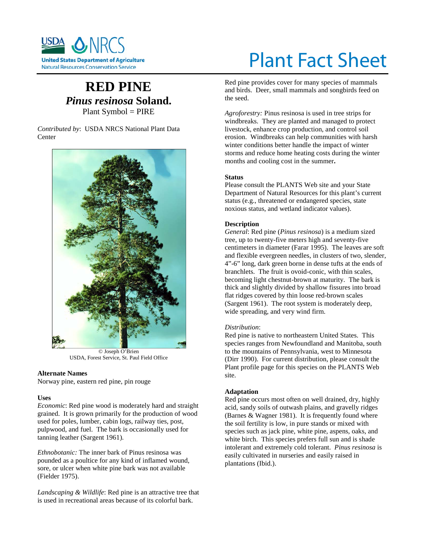

# **RED PINE** *Pinus resinosa* **Soland.** Plant Symbol = PIRE

*Contributed by*: USDA NRCS National Plant Data Center



© Joseph O'Brien USDA, Forest Service, St. Paul Field Office

# **Alternate Names**

Norway pine, eastern red pine, pin rouge

#### **Uses**

*Economic*: Red pine wood is moderately hard and straight grained. It is grown primarily for the production of wood used for poles, lumber, cabin logs, railway ties, post, pulpwood, and fuel. The bark is occasionally used for tanning leather (Sargent 1961).

*Ethnobotanic:* The inner bark of Pinus resinosa was pounded as a poultice for any kind of inflamed wound, sore, or ulcer when white pine bark was not available (Fielder 1975).

*Landscaping & Wildlife*: Red pine is an attractive tree that is used in recreational areas because of its colorful bark.

# Plant Fact Sheet

Red pine provides cover for many species of mammals and birds. Deer, small mammals and songbirds feed on the seed.

*Agroforestry:* Pinus resinosa is used in tree strips for windbreaks. They are planted and managed to protect livestock, enhance crop production, and control soil erosion. Windbreaks can help communities with harsh winter conditions better handle the impact of winter storms and reduce home heating costs during the winter months and cooling cost in the summer**.**

# **Status**

Please consult the PLANTS Web site and your State Department of Natural Resources for this plant's current status (e.g., threatened or endangered species, state noxious status, and wetland indicator values).

#### **Description**

*General*: Red pine (*Pinus resinosa*) is a medium sized tree, up to twenty-five meters high and seventy-five centimeters in diameter (Farar 1995). The leaves are soft and flexible evergreen needles, in clusters of two, slender, 4"-6" long, dark green borne in dense tufts at the ends of branchlets. The fruit is ovoid-conic, with thin scales, becoming light chestnut-brown at maturity. The bark is thick and slightly divided by shallow fissures into broad flat ridges covered by thin loose red-brown scales (Sargent 1961). The root system is moderately deep, wide spreading, and very wind firm.

#### *Distribution*:

Red pine is native to northeastern United States. This species ranges from Newfoundland and Manitoba, south to the mountains of Pennsylvania, west to Minnesota (Dirr 1990). For current distribution, please consult the Plant profile page for this species on the PLANTS Web site.

#### **Adaptation**

Red pine occurs most often on well drained, dry, highly acid, sandy soils of outwash plains, and gravelly ridges (Barnes & Wagner 1981). It is frequently found where the soil fertility is low, in pure stands or mixed with species such as jack pine, white pine, aspens, oaks, and white birch. This species prefers full sun and is shade intolerant and extremely cold tolerant. *Pinus resinosa* is easily cultivated in nurseries and easily raised in plantations (Ibid.).